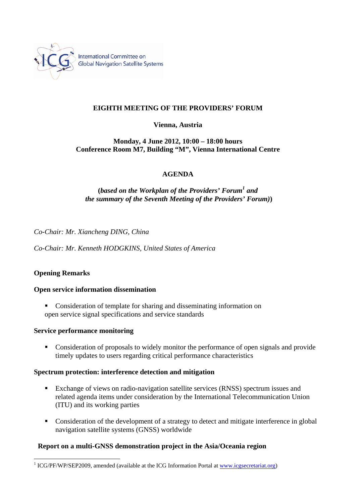

# **EIGHTH MEETING OF THE PROVIDERS' FORUM**

## **Vienna, Austria**

## **Monday, 4 June 2012, 10:00 – 18:00 hours Conference Room M7, Building "M", Vienna International Centre**

## **AGENDA**

# **(***based on the Workplan of the Providers' Forum<sup>1</sup> and the summary of the Seventh Meeting of the Providers' Forum)***)**

*Co-Chair: Mr. Xiancheng DING, China* 

*Co-Chair: Mr. Kenneth HODGKINS, United States of America* 

## **Opening Remarks**

 $\overline{a}$ 

#### **Open service information dissemination**

• Consideration of template for sharing and disseminating information on open service signal specifications and service standards

#### **Service performance monitoring**

• Consideration of proposals to widely monitor the performance of open signals and provide timely updates to users regarding critical performance characteristics

#### **Spectrum protection: interference detection and mitigation**

- Exchange of views on radio-navigation satellite services (RNSS) spectrum issues and related agenda items under consideration by the International Telecommunication Union (ITU) and its working parties
- Consideration of the development of a strategy to detect and mitigate interference in global navigation satellite systems (GNSS) worldwide

#### **Report on a multi-GNSS demonstration project in the Asia/Oceania region**

<sup>&</sup>lt;sup>1</sup> ICG/PF/WP/SEP2009, amended (available at the ICG Information Portal at www.icgsecretariat.org)